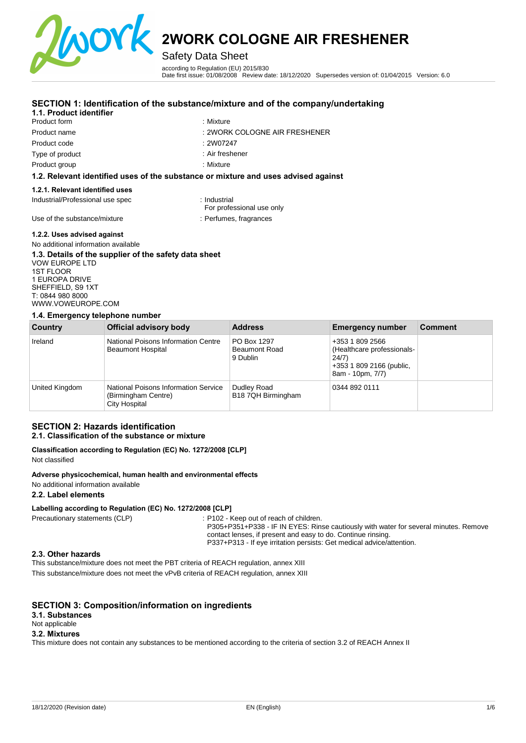

Safety Data Sheet

according to Regulation (EU) 2015/830 Date first issue: 01/08/2008 Review date: 18/12/2020 Supersedes version of: 01/04/2015 Version: 6.0

#### **SECTION 1: Identification of the substance/mixture and of the company/undertaking**

#### **1.1. Product identifier**

Product form Product name Product code Type of product

- : Mixture
- : 2WORK COLOGNE AIR FRESHENER
- : 2W07247

: Mixture

: Air freshener

Product group

#### **1.2. Relevant identified uses of the substance or mixture and uses advised against**

#### **1.2.1. Relevant identified uses**

Industrial/Professional use spec : Industrial

For professional use only

Use of the substance/mixture : Perfumes, fragrances

#### **1.2.2. Uses advised against**

#### No additional information available **1.3. Details of the supplier of the safety data sheet**

VOW EUROPE LTD 1ST FLOOR 1 EUROPA DRIVE SHEFFIELD, S9 1XT T: 0844 980 8000 [WWW.VOWEUROPE.COM](mailto:info@cloverchemicals.com)

#### **1.4. Emergency telephone number**

| Country        | Official advisory body                                                       | <b>Address</b>                                  | <b>Emergency number</b>                                                                                | <b>Comment</b> |
|----------------|------------------------------------------------------------------------------|-------------------------------------------------|--------------------------------------------------------------------------------------------------------|----------------|
| Ireland        | National Poisons Information Centre<br><b>Beaumont Hospital</b>              | PO Box 1297<br><b>Beaumont Road</b><br>9 Dublin | +353 1 809 2566<br>(Healthcare professionals-<br>24/7)<br>+353 1 809 2166 (public,<br>8am - 10pm, 7/7) |                |
| United Kingdom | National Poisons Information Service<br>(Birmingham Centre)<br>City Hospital | Dudley Road<br>B18 7QH Birmingham               | 0344 892 0111                                                                                          |                |

#### **SECTION 2: Hazards identification 2.1. Classification of the substance or mixture**

## **Classification according to Regulation (EC) No. 1272/2008 [CLP]**

Not classified

#### **Adverse physicochemical, human health and environmental effects**

No additional information available

#### **2.2. Label elements**

#### **Labelling according to Regulation (EC) No. 1272/2008 [CLP]**

Precautionary statements (CLP) : P102 - Keep out of reach of children.

P305+P351+P338 - IF IN EYES: Rinse cautiously with water for several minutes. Remove contact lenses, if present and easy to do. Continue rinsing. P337+P313 - If eye irritation persists: Get medical advice/attention.

#### **2.3. Other hazards**

This substance/mixture does not meet the PBT criteria of REACH regulation, annex XIII This substance/mixture does not meet the vPvB criteria of REACH regulation, annex XIII

#### **SECTION 3: Composition/information on ingredients**

#### **3.1. Substances**

Not applicable

#### **3.2. Mixtures**

This mixture does not contain any substances to be mentioned according to the criteria of section 3.2 of REACH Annex II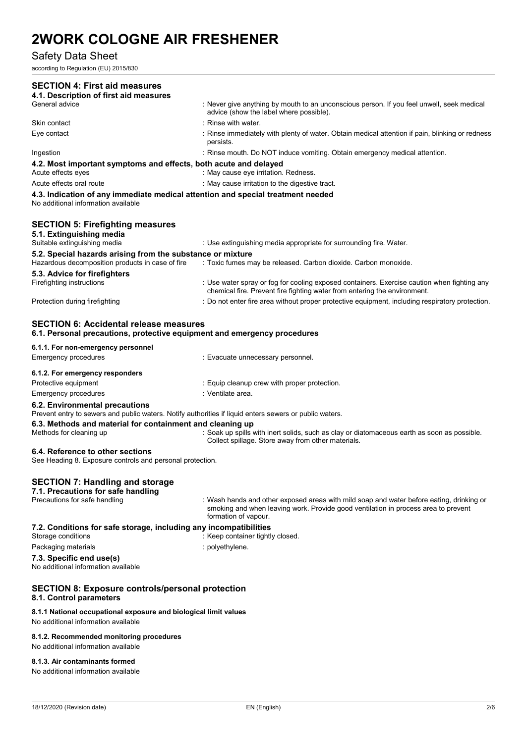### Safety Data Sheet

according to Regulation (EU) 2015/830

| <b>SECTION 4: First aid measures</b><br>4.1. Description of first aid measures                                                            |                                                                                                                                                                                                        |
|-------------------------------------------------------------------------------------------------------------------------------------------|--------------------------------------------------------------------------------------------------------------------------------------------------------------------------------------------------------|
| General advice                                                                                                                            | : Never give anything by mouth to an unconscious person. If you feel unwell, seek medical<br>advice (show the label where possible).                                                                   |
| Skin contact                                                                                                                              | : Rinse with water.                                                                                                                                                                                    |
| Eye contact                                                                                                                               | : Rinse immediately with plenty of water. Obtain medical attention if pain, blinking or redness<br>persists.                                                                                           |
| Ingestion                                                                                                                                 | : Rinse mouth. Do NOT induce vomiting. Obtain emergency medical attention.                                                                                                                             |
| 4.2. Most important symptoms and effects, both acute and delayed<br>Acute effects eyes                                                    | : May cause eye irritation. Redness.                                                                                                                                                                   |
| Acute effects oral route                                                                                                                  | : May cause irritation to the digestive tract.                                                                                                                                                         |
| 4.3. Indication of any immediate medical attention and special treatment needed<br>No additional information available                    |                                                                                                                                                                                                        |
| <b>SECTION 5: Firefighting measures</b><br>5.1. Extinguishing media                                                                       |                                                                                                                                                                                                        |
| Suitable extinguishing media                                                                                                              | : Use extinguishing media appropriate for surrounding fire. Water.                                                                                                                                     |
| 5.2. Special hazards arising from the substance or mixture<br>Hazardous decomposition products in case of fire                            | : Toxic fumes may be released. Carbon dioxide. Carbon monoxide.                                                                                                                                        |
| 5.3. Advice for firefighters<br>Firefighting instructions                                                                                 | : Use water spray or fog for cooling exposed containers. Exercise caution when fighting any<br>chemical fire. Prevent fire fighting water from entering the environment.                               |
| Protection during firefighting                                                                                                            | : Do not enter fire area without proper protective equipment, including respiratory protection.                                                                                                        |
| <b>SECTION 6: Accidental release measures</b><br>6.1. Personal precautions, protective equipment and emergency procedures                 |                                                                                                                                                                                                        |
| 6.1.1. For non-emergency personnel<br>Emergency procedures                                                                                | : Evacuate unnecessary personnel.                                                                                                                                                                      |
|                                                                                                                                           |                                                                                                                                                                                                        |
| 6.1.2. For emergency responders<br>Protective equipment                                                                                   | : Equip cleanup crew with proper protection.                                                                                                                                                           |
| <b>Emergency procedures</b>                                                                                                               | : Ventilate area.                                                                                                                                                                                      |
| 6.2. Environmental precautions<br>Prevent entry to sewers and public waters. Notify authorities if liquid enters sewers or public waters. |                                                                                                                                                                                                        |
| 6.3. Methods and material for containment and cleaning up                                                                                 |                                                                                                                                                                                                        |
| Methods for cleaning up                                                                                                                   | : Soak up spills with inert solids, such as clay or diatomaceous earth as soon as possible.<br>Collect spillage. Store away from other materials.                                                      |
| 6.4. Reference to other sections<br>See Heading 8. Exposure controls and personal protection.                                             |                                                                                                                                                                                                        |
| <b>SECTION 7: Handling and storage</b><br>7.1. Precautions for safe handling                                                              |                                                                                                                                                                                                        |
| Precautions for safe handling                                                                                                             | : Wash hands and other exposed areas with mild soap and water before eating, drinking or<br>smoking and when leaving work. Provide good ventilation in process area to prevent<br>formation of vapour. |
| 7.2. Conditions for safe storage, including any incompatibilities<br>Storage conditions                                                   | : Keep container tightly closed.                                                                                                                                                                       |
| Packaging materials                                                                                                                       | : polyethylene.                                                                                                                                                                                        |
| 7.3. Specific end use(s)<br>No additional information available                                                                           |                                                                                                                                                                                                        |
| <b>SECTION 8: Exposure controls/personal protection</b><br>8.1. Control parameters                                                        |                                                                                                                                                                                                        |
| 8.1.1 National occupational exposure and biological limit values<br>No additional information available                                   |                                                                                                                                                                                                        |
| 8.1.2. Recommended monitoring procedures<br>No additional information available                                                           |                                                                                                                                                                                                        |
|                                                                                                                                           |                                                                                                                                                                                                        |

### **8.1.3. Air contaminants formed**

No additional information available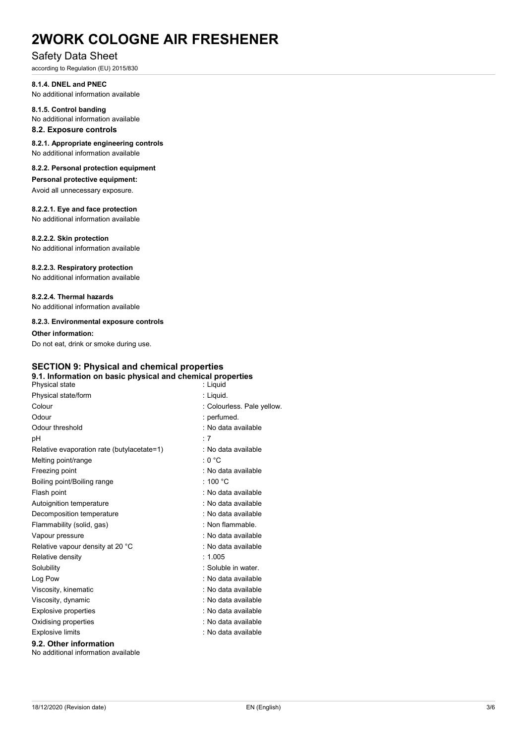### Safety Data Sheet

according to Regulation (EU) 2015/830

**8.1.4. DNEL and PNEC**  No additional information available

#### **8.1.5. Control banding**

No additional information available

#### **8.2. Exposure controls**

**8.2.1. Appropriate engineering controls**  No additional information available

#### **8.2.2. Personal protection equipment**

**Personal protective equipment:**

Avoid all unnecessary exposure.

#### **8.2.2.1. Eye and face protection**

No additional information available

#### **8.2.2.2. Skin protection**

No additional information available

#### **8.2.2.3. Respiratory protection**

No additional information available

#### **8.2.2.4. Thermal hazards**

No additional information available

#### **8.2.3. Environmental exposure controls**

#### **Other information:**

Do not eat, drink or smoke during use.

#### **SECTION 9: Physical and chemical properties 9.1. Information on basic physical and chemical properties**

| Physical state                             | : Liquid                   |
|--------------------------------------------|----------------------------|
| Physical state/form                        | : Liquid.                  |
| Colour                                     | : Colourless. Pale yellow. |
| Odour                                      | : perfumed.                |
| Odour threshold                            | : No data available        |
| рH                                         | $\cdot$ 7                  |
| Relative evaporation rate (butylacetate=1) | : No data available        |
| Melting point/range                        | : 0 °C                     |
| Freezing point                             | : No data available        |
| Boiling point/Boiling range                | : 100 $^{\circ}$ C         |
| Flash point                                | : No data available        |
| Autoignition temperature                   | : No data available        |
| Decomposition temperature                  | : No data available        |
| Flammability (solid, gas)                  | : Non flammable.           |
| Vapour pressure                            | : No data available        |
| Relative vapour density at 20 °C           | : No data available        |
| Relative density                           | : 1.005                    |
| Solubility                                 | : Soluble in water.        |
| Log Pow                                    | : No data available        |
| Viscosity, kinematic                       | : No data available        |
| Viscosity, dynamic                         | : No data available        |
| <b>Explosive properties</b>                | : No data available        |
| Oxidising properties                       | : No data available        |
| <b>Explosive limits</b>                    | : No data available        |
| 9.2. Other information                     |                            |
| No additional information available        |                            |

18/12/2020 (Revision date) EN (English) 3/6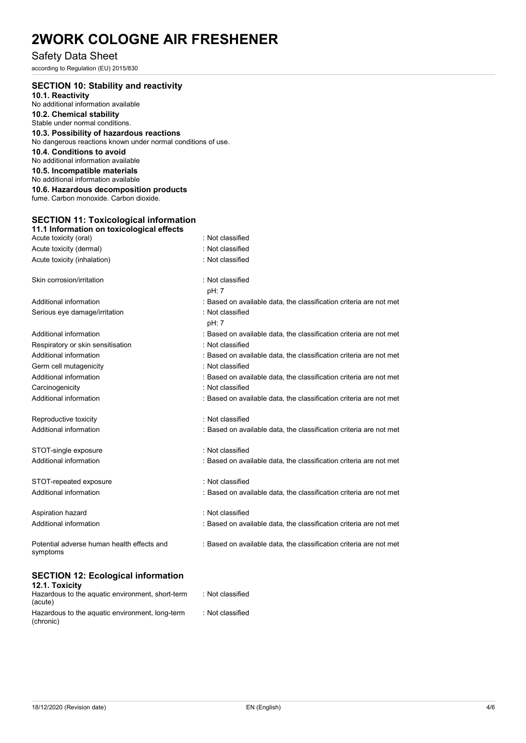### Safety Data Sheet

according to Regulation (EU) 2015/830

| <b>SECTION 10: Stability and reactivity</b><br>10.1. Reactivity<br>No additional information available<br>10.2. Chemical stability<br>Stable under normal conditions.<br>10.3. Possibility of hazardous reactions<br>No dangerous reactions known under normal conditions of use.<br>10.4. Conditions to avoid<br>No additional information available<br>10.5. Incompatible materials<br>No additional information available<br>10.6. Hazardous decomposition products<br>fume. Carbon monoxide. Carbon dioxide. |                                                                    |
|------------------------------------------------------------------------------------------------------------------------------------------------------------------------------------------------------------------------------------------------------------------------------------------------------------------------------------------------------------------------------------------------------------------------------------------------------------------------------------------------------------------|--------------------------------------------------------------------|
| <b>SECTION 11: Toxicological information</b>                                                                                                                                                                                                                                                                                                                                                                                                                                                                     |                                                                    |
| 11.1 Information on toxicological effects                                                                                                                                                                                                                                                                                                                                                                                                                                                                        |                                                                    |
| Acute toxicity (oral)                                                                                                                                                                                                                                                                                                                                                                                                                                                                                            | : Not classified                                                   |
| Acute toxicity (dermal)                                                                                                                                                                                                                                                                                                                                                                                                                                                                                          | : Not classified                                                   |
| Acute toxicity (inhalation)                                                                                                                                                                                                                                                                                                                                                                                                                                                                                      | : Not classified                                                   |
| Skin corrosion/irritation                                                                                                                                                                                                                                                                                                                                                                                                                                                                                        | : Not classified<br>pH: 7                                          |
| Additional information                                                                                                                                                                                                                                                                                                                                                                                                                                                                                           | : Based on available data, the classification criteria are not met |
| Serious eye damage/irritation                                                                                                                                                                                                                                                                                                                                                                                                                                                                                    | : Not classified<br>pH: 7                                          |
| Additional information                                                                                                                                                                                                                                                                                                                                                                                                                                                                                           | : Based on available data, the classification criteria are not met |
| Respiratory or skin sensitisation                                                                                                                                                                                                                                                                                                                                                                                                                                                                                | : Not classified                                                   |
| Additional information                                                                                                                                                                                                                                                                                                                                                                                                                                                                                           | : Based on available data, the classification criteria are not met |
| Germ cell mutagenicity                                                                                                                                                                                                                                                                                                                                                                                                                                                                                           | : Not classified                                                   |
| Additional information                                                                                                                                                                                                                                                                                                                                                                                                                                                                                           | : Based on available data, the classification criteria are not met |
| Carcinogenicity                                                                                                                                                                                                                                                                                                                                                                                                                                                                                                  | : Not classified                                                   |
| Additional information                                                                                                                                                                                                                                                                                                                                                                                                                                                                                           | : Based on available data, the classification criteria are not met |
| Reproductive toxicity                                                                                                                                                                                                                                                                                                                                                                                                                                                                                            | Not classified                                                     |
| Additional information                                                                                                                                                                                                                                                                                                                                                                                                                                                                                           | : Based on available data, the classification criteria are not met |
| STOT-single exposure                                                                                                                                                                                                                                                                                                                                                                                                                                                                                             | : Not classified                                                   |
| Additional information                                                                                                                                                                                                                                                                                                                                                                                                                                                                                           | : Based on available data, the classification criteria are not met |
| STOT-repeated exposure                                                                                                                                                                                                                                                                                                                                                                                                                                                                                           | : Not classified                                                   |
| Additional information                                                                                                                                                                                                                                                                                                                                                                                                                                                                                           | : Based on available data, the classification criteria are not met |
| Aspiration hazard                                                                                                                                                                                                                                                                                                                                                                                                                                                                                                | : Not classified                                                   |
| Additional information                                                                                                                                                                                                                                                                                                                                                                                                                                                                                           | : Based on available data, the classification criteria are not met |
| Potential adverse human health effects and<br>symptoms                                                                                                                                                                                                                                                                                                                                                                                                                                                           | : Based on available data, the classification criteria are not met |

#### **SECTION 12: Ecological information**

| 12.1. Toxicity                                               |                  |
|--------------------------------------------------------------|------------------|
| Hazardous to the aquatic environment, short-term<br>(acute)  | : Not classified |
| Hazardous to the aquatic environment, long-term<br>(chronic) | : Not classified |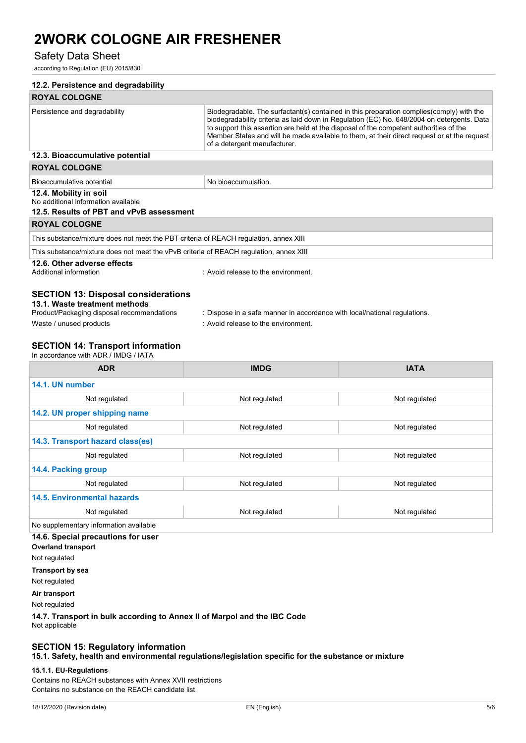### Safety Data Sheet

according to Regulation (EU) 2015/830

| <b>ROYAL COLOGNE</b><br>Biodegradable. The surfactant(s) contained in this preparation complies(comply) with the<br>Persistence and degradability<br>biodegradability criteria as laid down in Regulation (EC) No. 648/2004 on detergents. Data<br>to support this assertion are held at the disposal of the competent authorities of the<br>Member States and will be made available to them, at their direct request or at the request<br>of a detergent manufacturer.<br>12.3. Bioaccumulative potential<br><b>ROYAL COLOGNE</b><br>No bioaccumulation.<br>Bioaccumulative potential<br>12.4. Mobility in soil<br>No additional information available<br>12.5. Results of PBT and vPvB assessment |
|------------------------------------------------------------------------------------------------------------------------------------------------------------------------------------------------------------------------------------------------------------------------------------------------------------------------------------------------------------------------------------------------------------------------------------------------------------------------------------------------------------------------------------------------------------------------------------------------------------------------------------------------------------------------------------------------------|
|                                                                                                                                                                                                                                                                                                                                                                                                                                                                                                                                                                                                                                                                                                      |
|                                                                                                                                                                                                                                                                                                                                                                                                                                                                                                                                                                                                                                                                                                      |
|                                                                                                                                                                                                                                                                                                                                                                                                                                                                                                                                                                                                                                                                                                      |
|                                                                                                                                                                                                                                                                                                                                                                                                                                                                                                                                                                                                                                                                                                      |
|                                                                                                                                                                                                                                                                                                                                                                                                                                                                                                                                                                                                                                                                                                      |
|                                                                                                                                                                                                                                                                                                                                                                                                                                                                                                                                                                                                                                                                                                      |
|                                                                                                                                                                                                                                                                                                                                                                                                                                                                                                                                                                                                                                                                                                      |
| <b>ROYAL COLOGNE</b>                                                                                                                                                                                                                                                                                                                                                                                                                                                                                                                                                                                                                                                                                 |
| This substance/mixture does not meet the PBT criteria of REACH regulation, annex XIII                                                                                                                                                                                                                                                                                                                                                                                                                                                                                                                                                                                                                |
| This substance/mixture does not meet the vPvB criteria of REACH regulation, annex XIII                                                                                                                                                                                                                                                                                                                                                                                                                                                                                                                                                                                                               |
| 12.6. Other adverse effects<br>Additional information<br>: Avoid release to the environment.                                                                                                                                                                                                                                                                                                                                                                                                                                                                                                                                                                                                         |
| <b>SECTION 13: Disposal considerations</b><br>13.1. Waste treatment methods<br>Product/Packaging disposal recommendations<br>: Dispose in a safe manner in accordance with local/national regulations.<br>Waste / unused products<br>: Avoid release to the environment.                                                                                                                                                                                                                                                                                                                                                                                                                             |
|                                                                                                                                                                                                                                                                                                                                                                                                                                                                                                                                                                                                                                                                                                      |
| <b>SECTION 14: Transport information</b><br>In accordance with ADR / IMDG / IATA                                                                                                                                                                                                                                                                                                                                                                                                                                                                                                                                                                                                                     |
| <b>IATA</b><br><b>ADR</b><br><b>IMDG</b>                                                                                                                                                                                                                                                                                                                                                                                                                                                                                                                                                                                                                                                             |
| 14.1. UN number                                                                                                                                                                                                                                                                                                                                                                                                                                                                                                                                                                                                                                                                                      |
| Not regulated<br>Not regulated<br>Not regulated                                                                                                                                                                                                                                                                                                                                                                                                                                                                                                                                                                                                                                                      |
| 14.2. UN proper shipping name                                                                                                                                                                                                                                                                                                                                                                                                                                                                                                                                                                                                                                                                        |
| Not regulated<br>Not regulated<br>Not regulated                                                                                                                                                                                                                                                                                                                                                                                                                                                                                                                                                                                                                                                      |
| 14.3. Transport hazard class(es)                                                                                                                                                                                                                                                                                                                                                                                                                                                                                                                                                                                                                                                                     |
| Not regulated<br>Not regulated<br>Not regulated                                                                                                                                                                                                                                                                                                                                                                                                                                                                                                                                                                                                                                                      |
| 14.4. Packing group                                                                                                                                                                                                                                                                                                                                                                                                                                                                                                                                                                                                                                                                                  |
| Not regulated<br>Not regulated<br>Not regulated                                                                                                                                                                                                                                                                                                                                                                                                                                                                                                                                                                                                                                                      |
| <b>14.5. Environmental hazards</b>                                                                                                                                                                                                                                                                                                                                                                                                                                                                                                                                                                                                                                                                   |
| Not regulated<br>Not regulated<br>Not regulated                                                                                                                                                                                                                                                                                                                                                                                                                                                                                                                                                                                                                                                      |
| No supplementary information available                                                                                                                                                                                                                                                                                                                                                                                                                                                                                                                                                                                                                                                               |
| 14.6. Special precautions for user                                                                                                                                                                                                                                                                                                                                                                                                                                                                                                                                                                                                                                                                   |
| <b>Overland transport</b>                                                                                                                                                                                                                                                                                                                                                                                                                                                                                                                                                                                                                                                                            |
| Not regulated                                                                                                                                                                                                                                                                                                                                                                                                                                                                                                                                                                                                                                                                                        |
| <b>Transport by sea</b>                                                                                                                                                                                                                                                                                                                                                                                                                                                                                                                                                                                                                                                                              |
| Not regulated                                                                                                                                                                                                                                                                                                                                                                                                                                                                                                                                                                                                                                                                                        |
| Air transport<br>Not regulated                                                                                                                                                                                                                                                                                                                                                                                                                                                                                                                                                                                                                                                                       |
|                                                                                                                                                                                                                                                                                                                                                                                                                                                                                                                                                                                                                                                                                                      |

14.7. Transp<br>Not applicable

## **SECTION 15: Regulatory information**

**15.1. Safety, health and environmental regulations/legislation specific for the substance or mixture** 

#### **15.1.1. EU-Regulations**

Contains no REACH substances with Annex XVII restrictions Contains no substance on the REACH candidate list